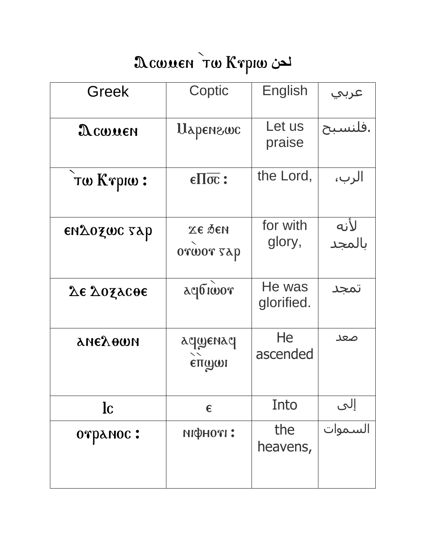## La COUSEN TW Krpiw

| <b>Greek</b>             | Coptic                                | English              | عربي           |
|--------------------------|---------------------------------------|----------------------|----------------|
| $\mathfrak{D}$ cwuen     | Uapenzwc                              | Let us<br>praise     | فلنسبح.        |
| Tw Krpiw:                | $\epsilon \Pi \overline{\text{oc}}$ : | the Lord,            | الرب،          |
| εηλοχως ταρ              | <b>ЖЕ ДЕИ</b><br>orwor sap            | for with<br>glory,   | لأنه<br>بالمجد |
| <b><i>Δε Δοξλεθε</i></b> | acpticor                              | He was<br>glorified. | تمجد           |
| анехоти                  | асцуенас<br>$\sum_{n=1}^{\infty}$     | He<br>ascended       | صعد            |
| <b>lc</b>                | $\epsilon$                            | Into                 | إلى<br>السموات |
| отранос:                 | ніфноті:                              | the<br>heavens,      |                |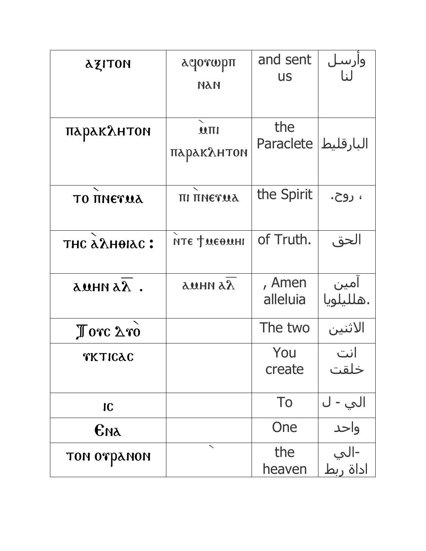| <b>AZITON</b>               | λqorwpπ<br>ПАИ             | and sent<br><b>US</b> | وأرسل<br>لنا      |
|-----------------------------|----------------------------|-----------------------|-------------------|
| паракантом                  | $\mathbf{M}$<br>паракантом | the<br>Paraclete      | البارقليط         |
| <b>TO TINETUA</b>           | πι πηεταλ                  | the Spirit            | ، روح.            |
| тнс алнотас:                | нте фиєвині                | of Truth.             | الحق              |
| амни ал.                    | <b>AS HHUS</b>             | , Amen<br>alleluia    | آمین<br>.هللیلویا |
| $\int \text{orc } \Delta x$ |                            | The two               | الاثنين           |
| TKTICAC                     |                            | You<br>create         | انت<br>خلقت       |
| IC                          |                            | To                    | الي - ل           |
| Ема                         |                            | One                   | واحد              |
| том отранон                 | ╲                          | the<br>heaven         | -الي<br>اداة ربط  |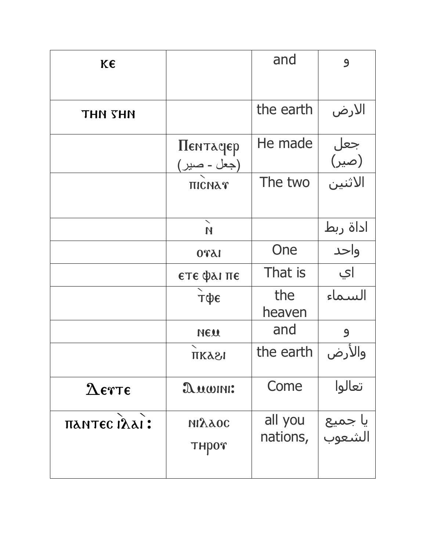| K€            |                                   | and                 | 9                       |
|---------------|-----------------------------------|---------------------|-------------------------|
|               |                                   |                     |                         |
| THN THN       |                                   | the earth           | الارض                   |
|               | Пентасрер<br>(جعل - صب <u>ر )</u> | He made             | جعل<br>(صير)<br>الاثنين |
|               | ΠΙΣΝΑΥ                            | The two             |                         |
|               | N                                 |                     | اداة ربط                |
|               | 1570                              | One                 | واحد                    |
|               | ετε φαι πε                        | That is             | اي                      |
|               | тфє                               | the<br>heaven       | السماء                  |
|               | NEU                               | and                 | $\mathbf{9}$            |
|               | ПКАЗІ                             | the earth           | والأرض                  |
| $\Delta$ erte | $x$ <i>uonn:</i>                  | Come                | تعالوا                  |
| πλητες ιλλι:  | <b>NIAAOC</b><br>THPOT            | all you<br>nations, | يا جميع<br>الشعوب       |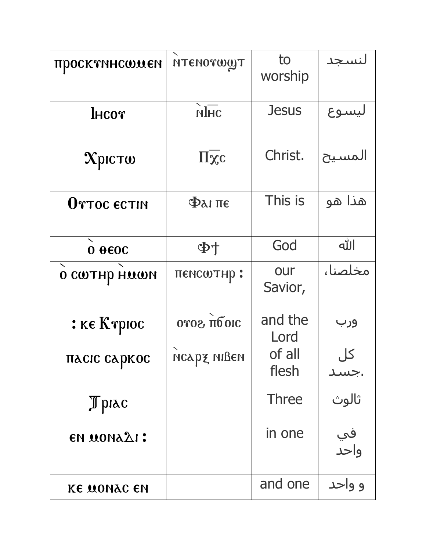| просктинстием             | <b>NTENOTWWT</b>      | to<br>worship   | لنسجد      |
|---------------------------|-----------------------|-----------------|------------|
| $l$ HCO $r$               | $\sum_{n=1}^{\infty}$ | <b>Jesus</b>    | ليسوع      |
| Хрісто                    | $\Pi\overline{\chi}c$ | Christ.         | المسيح     |
| OTTOC ECTIN               | $\Phi$ <i>ai</i> πε   | This is         | هذا هو     |
| $0 \theta$ <sub>600</sub> | 中小                    | God             | الله       |
| <b>O CWTHP HUWN</b>       | пемсштнр:             | our<br>Savior,  | مخلصنا،    |
| : ке Ктрюс                | oros πόσις            | and the<br>Lord | ورب        |
| пасіс саркос              | нсард нівен           | of all          | کل         |
|                           |                       | flesh           | جسد        |
| Tpiac                     |                       | <b>Three</b>    | ثالوث      |
| <b>EN MONALI:</b>         |                       | in one          | في<br>واحد |
| <b>KE MONAC EN</b>        |                       | and one         | و واحد     |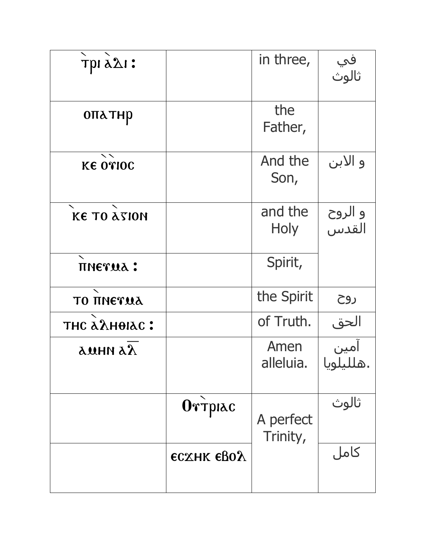| трі д $\Delta$ і:  |                   | in three,              | في<br>ثالوث      |
|--------------------|-------------------|------------------------|------------------|
| опатнр             |                   | the<br>Father,         |                  |
| <b>KE OTIOC</b>    |                   | And the<br>Son,        | و الابن          |
| <b>KE TO ATION</b> |                   | and the<br><b>Holy</b> | و الروح<br>القدس |
| пиетца:            |                   | Spirit,                |                  |
| <b>TO TINETUA</b>  |                   | the Spirit             | روح              |
| тнс алнотас:       |                   | of Truth.              | الحق             |
| auhn a $\lambda$   |                   | Amen<br>alleluia.      | .هلليلويا        |
|                    | Ortplac           | A perfect<br>Trinity,  | ثالوث            |
|                    | <b>ECXHK EBOA</b> |                        | کامل             |